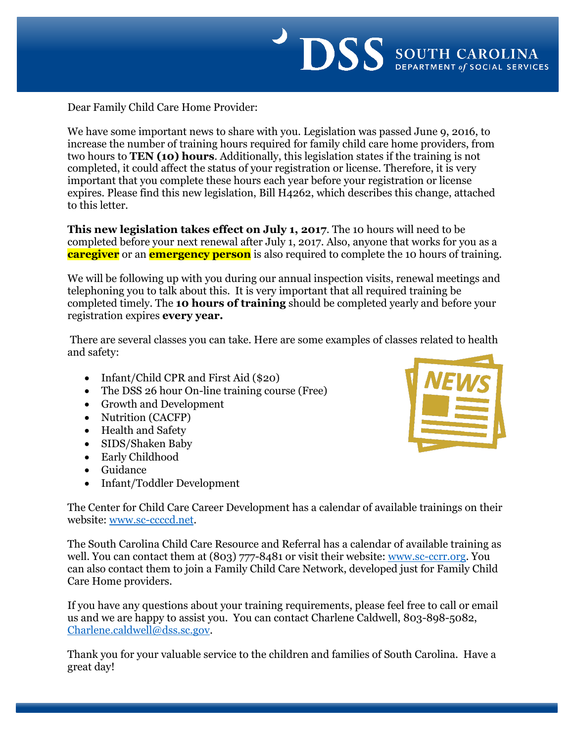

Dear Family Child Care Home Provider:

We have some important news to share with you. Legislation was passed June 9, 2016, to increase the number of training hours required for family child care home providers, from two hours to **TEN (10) hours**. Additionally, this legislation states if the training is not completed, it could affect the status of your registration or license. Therefore, it is very important that you complete these hours each year before your registration or license expires. Please find this new legislation, Bill H4262, which describes this change, attached to this letter.

**This new legislation takes effect on July 1, 2017**. The 10 hours will need to be completed before your next renewal after July 1, 2017. Also, anyone that works for you as a **caregiver** or an **emergency person** is also required to complete the 10 hours of training.

We will be following up with you during our annual inspection visits, renewal meetings and telephoning you to talk about this. It is very important that all required training be completed timely. The **10 hours of training** should be completed yearly and before your registration expires **every year.** 

There are several classes you can take. Here are some examples of classes related to health and safety:

- Infant/Child CPR and First Aid (\$20)
- The DSS 26 hour On-line training course (Free)
- Growth and Development
- Nutrition (CACFP)
- Health and Safety
- SIDS/Shaken Baby
- Early Childhood
- Guidance
- Infant/Toddler Development



The Center for Child Care Career Development has a calendar of available trainings on their website: [www.sc-ccccd.net.](http://www.sc-ccccd.net/)

The South Carolina Child Care Resource and Referral has a calendar of available training as well. You can contact them at (803) 777-8481 or visit their website: [www.sc-ccrr.org.](http://www.sc-ccrr.org/) You can also contact them to join a Family Child Care Network, developed just for Family Child Care Home providers.

If you have any questions about your training requirements, please feel free to call or email us and we are happy to assist you. You can contact Charlene Caldwell, 803-898-5082, [Charlene.caldwell@dss.sc.gov.](mailto:Charlene.caldwell@dss.sc.gov)

Thank you for your valuable service to the children and families of South Carolina. Have a great day!